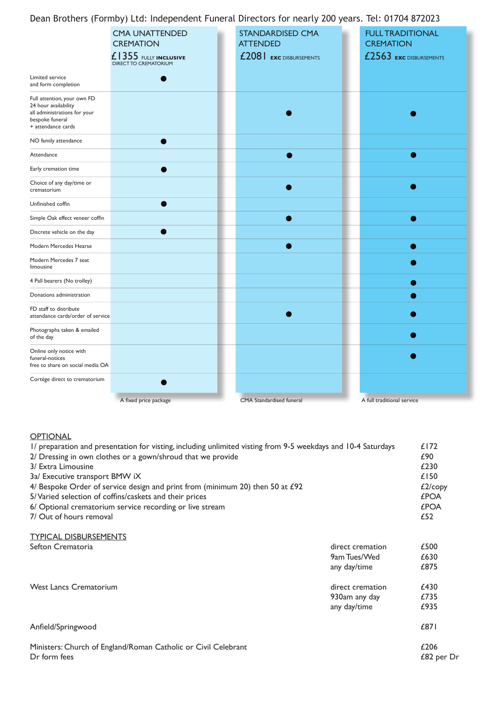Dean Brothers (Formby) Ltd: Independent Funeral Directors for nearly 200 years. Tel: 01704 872023

|                                                                                                                              |                                                                                                    | --                                                                    |                                                                        |
|------------------------------------------------------------------------------------------------------------------------------|----------------------------------------------------------------------------------------------------|-----------------------------------------------------------------------|------------------------------------------------------------------------|
|                                                                                                                              | <b>CMA UNATTENDED</b><br><b>CREMATION</b><br>£1355 FULLY INCLUSIVE<br><b>DIRECT TO CREMATORIUM</b> | <b>STANDARDISED CMA</b><br><b>ATTENDED</b><br>£2081 EXC DISBURSEMENTS | <b>FULL TRADITIONAL</b><br><b>CREMATION</b><br>£2563 EXC DISBURSEMENTS |
| Limited service<br>and form completion                                                                                       |                                                                                                    |                                                                       |                                                                        |
| Full attention, your own FD<br>24 hour availability<br>all administrations for your<br>bespoke funeral<br>+ attendance cards |                                                                                                    |                                                                       |                                                                        |
| NO family attendance                                                                                                         |                                                                                                    |                                                                       |                                                                        |
| Attendance                                                                                                                   |                                                                                                    |                                                                       |                                                                        |
| Early cremation time                                                                                                         |                                                                                                    |                                                                       |                                                                        |
| Choice of any day/time or<br>crematorium                                                                                     |                                                                                                    |                                                                       |                                                                        |
| Unfinished coffin                                                                                                            |                                                                                                    |                                                                       |                                                                        |
| Simple Oak effect veneer coffin                                                                                              |                                                                                                    |                                                                       |                                                                        |
| Discrete vehicle on the day                                                                                                  |                                                                                                    |                                                                       |                                                                        |
| Modern Mercedes Hearse                                                                                                       |                                                                                                    |                                                                       |                                                                        |
| Modern Mercedes 7 seat<br>limousine                                                                                          |                                                                                                    |                                                                       |                                                                        |
| 4 Pall bearers (No trolley)                                                                                                  |                                                                                                    |                                                                       |                                                                        |
| Donations administration                                                                                                     |                                                                                                    |                                                                       |                                                                        |
| FD staff to distribute<br>attendance cards/order of service                                                                  |                                                                                                    |                                                                       |                                                                        |
| Photographs taken & emailed<br>of the day                                                                                    |                                                                                                    |                                                                       |                                                                        |
| Online only notice with<br>funeral-notices<br>free to share on social media OA                                               |                                                                                                    |                                                                       |                                                                        |
| Cortége direct to crematorium                                                                                                |                                                                                                    |                                                                       |                                                                        |
|                                                                                                                              | A fixed price package                                                                              | <b>CMA</b> Standardised funeral                                       | A full traditional service                                             |

## **OPTIONAL**

| I/ preparation and presentation for visting, including unlimited visting from 9-5 weekdays and 10-4 Saturdays<br>2/ Dressing in own clothes or a gown/shroud that we provide                                                                                                           |                                                   |                                                              |
|----------------------------------------------------------------------------------------------------------------------------------------------------------------------------------------------------------------------------------------------------------------------------------------|---------------------------------------------------|--------------------------------------------------------------|
| 3/ Extra Limousine<br>3a/ Executive transport BMW iX<br>4/ Bespoke Order of service design and print from (minimum 20) then 50 at £92<br>5/Varied selection of coffins/caskets and their prices<br>6/ Optional crematorium service recording or live stream<br>7/ Out of hours removal |                                                   | £230<br>£150<br>£2/copy<br><b>£POA</b><br><b>£POA</b><br>£52 |
| <b>TYPICAL DISBURSEMENTS</b>                                                                                                                                                                                                                                                           |                                                   |                                                              |
| Sefton Crematoria                                                                                                                                                                                                                                                                      | direct cremation<br>9am Tues/Wed<br>any day/time  | £500<br>£630<br>£875                                         |
| <b>West Lancs Crematorium</b>                                                                                                                                                                                                                                                          | direct cremation<br>930am any day<br>any day/time | £430<br>£735<br>£935                                         |
| Anfield/Springwood                                                                                                                                                                                                                                                                     |                                                   | £871                                                         |
| Ministers: Church of England/Roman Catholic or Civil Celebrant<br>Dr form fees                                                                                                                                                                                                         |                                                   | £206<br>£82 per Dr                                           |